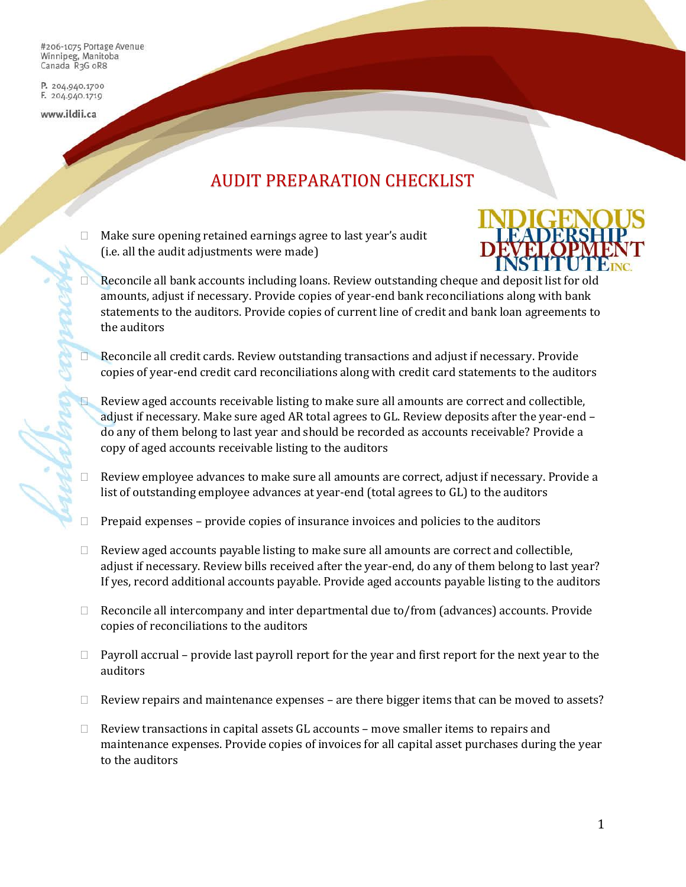#206-1075 Portage Avenue Winnipeg, Manitoba Canada R3G oR8

P. 204.940.1700 F. 204.940.1719

www.ildii.ca

## AUDIT PREPARATION CHECKLIST

 Make sure opening retained earnings agree to last year's audit (i.e. all the audit adjustments were made)



- Reconcile all bank accounts including loans. Review outstanding cheque and deposit list for old amounts, adjust if necessary. Provide copies of year-end bank reconciliations along with bank statements to the auditors. Provide copies of current line of credit and bank loan agreements to the auditors
- Reconcile all credit cards. Review outstanding transactions and adjust if necessary. Provide copies of year-end credit card reconciliations along with credit card statements to the auditors
- Review aged accounts receivable listing to make sure all amounts are correct and collectible, adjust if necessary. Make sure aged AR total agrees to GL. Review deposits after the year-end – do any of them belong to last year and should be recorded as accounts receivable? Provide a copy of aged accounts receivable listing to the auditors
- Review employee advances to make sure all amounts are correct, adjust if necessary. Provide a list of outstanding employee advances at year-end (total agrees to GL) to the auditors
- Prepaid expenses provide copies of insurance invoices and policies to the auditors
- $\Box$  Review aged accounts payable listing to make sure all amounts are correct and collectible, adjust if necessary. Review bills received after the year-end, do any of them belong to last year? If yes, record additional accounts payable. Provide aged accounts payable listing to the auditors
- $\Box$  Reconcile all intercompany and inter departmental due to/from (advances) accounts. Provide copies of reconciliations to the auditors
- $\Box$  Payroll accrual provide last payroll report for the year and first report for the next year to the auditors
- $\Box$  Review repairs and maintenance expenses are there bigger items that can be moved to assets?
- $\Box$  Review transactions in capital assets GL accounts move smaller items to repairs and maintenance expenses. Provide copies of invoices for all capital asset purchases during the year to the auditors